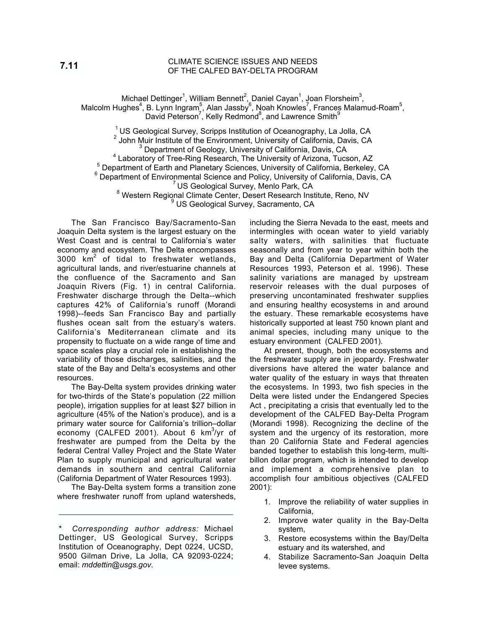#### CLIMATE SCIENCE ISSUES AND NEEDS OF THE CALFED BAY-DELTA PROGRAM

Michael Dettinger<sup>1</sup>, William Bennett<sup>2</sup>, Daniel Cayan<sup>1</sup>, Joan Florsheim<sup>3</sup>, Malcolm Hughes<sup>4</sup>, B. Lynn Ingram<sup>5</sup>, Alan Jassby<sup>6</sup>, Noah Knowles<sup>7</sup>, Frances Malamud-Roam<sup>5</sup>, David Peterson<sup>7</sup>, Kelly Redmond<sup>8</sup>, and Lawrence Smith<sup>9</sup>

 $1$  US Geological Survey, Scripps Institution of Oceanography, La Jolla, CA  $2$  John Muir Institute of the Environment, University of California, Davis, CA Department of Geology, University of California, Davis, CA <sup>4</sup>  $4$  Laboratory of Tree-Ring Research, The University of Arizona, Tucson, AZ <sup>5</sup> Department of Earth and Planetary Sciences, University of California, Berkeley, CA <sup>6</sup> Department of Environmental Science and Policy, University of California, Davis, CA<br><sup>7</sup> US Geological Survey, Menlo Park, CA<br><sup>8</sup> Meetern Designal Climate Center, Depart Peacersh Institute, Pape, NM <sup>8</sup> Western Regional Climate Center, Desert Research Institute, Reno, NV US Geological Survey, Sacramento, CA

The San Francisco Bay/Sacramento-San Joaquin Delta system is the largest estuary on the West Coast and is central to California's water economy and ecosystem. The Delta encompasses  $3000 \,$  km<sup>2</sup> of tidal to freshwater wetlands, agricultural lands, and river/estuarine channels at the confluence of the Sacramento and San Joaquin Rivers (Fig. 1) in central California. Freshwater discharge through the Delta--which captures 42% of California's runoff (Morandi 1998)--feeds San Francisco Bay and partially flushes ocean salt from the estuary's waters. California's Mediterranean climate and its propensity to fluctuate on a wide range of time and space scales play a crucial role in establishing the variability of those discharges, salinities, and the state of the Bay and Delta's ecosystems and other resources.

The Bay-Delta system provides drinking water for two-thirds of the State's population (22 million people), irrigation supplies for at least \$27 billion in agriculture (45% of the Nation's produce), and is a primary water source for California's trillion–dollar .<br>economy (CALFED 2001). About 6 km<sup>3</sup>/yr of freshwater are pumped from the Delta by the federal Central Valley Project and the State Water Plan to supply municipal and agricultural water demands in southern and central California (California Department of Water Resources 1993).

The Bay-Delta system forms a transition zone where freshwater runoff from upland watersheds, including the Sierra Nevada to the east, meets and intermingles with ocean water to yield variably salty waters, with salinities that fluctuate seasonally and from year to year within both the Bay and Delta (California Department of Water Resources 1993, Peterson et al. 1996). These salinity variations are managed by upstream reservoir releases with the dual purposes of preserving uncontaminated freshwater supplies and ensuring healthy ecosystems in and around the estuary. These remarkable ecosystems have historically supported at least 750 known plant and animal species, including many unique to the estuary environment (CALFED 2001).

At present, though, both the ecosystems and the freshwater supply are in jeopardy. Freshwater diversions have altered the water balance and water quality of the estuary in ways that threaten the ecosystems. In 1993, two fish species in the Delta were listed under the Endangered Species Act , precipitating a crisis that eventually led to the development of the CALFED Bay-Delta Program (Morandi 1998). Recognizing the decline of the system and the urgency of its restoration, more than 20 California State and Federal agencies banded together to establish this long-term, multibillon dollar program, which is intended to develop and implement a comprehensive plan to accomplish four ambitious objectives (CALFED 2001):

- 1. Improve the reliability of water supplies in California,
- 2. Improve water quality in the Bay-Delta system,
- 3. Restore ecosystems within the Bay/Delta estuary and its watershed, and
- 4. Stabilize Sacramento-San Joaquin Delta levee systems.

<sup>\*</sup> *Corresponding author address:* Michael Dettinger, US Geological Survey, Scripps Institution of Oceanography, Dept 0224, UCSD, 9500 Gilman Drive, La Jolla, CA 92093-0224; email: *mddettin@usgs.gov*.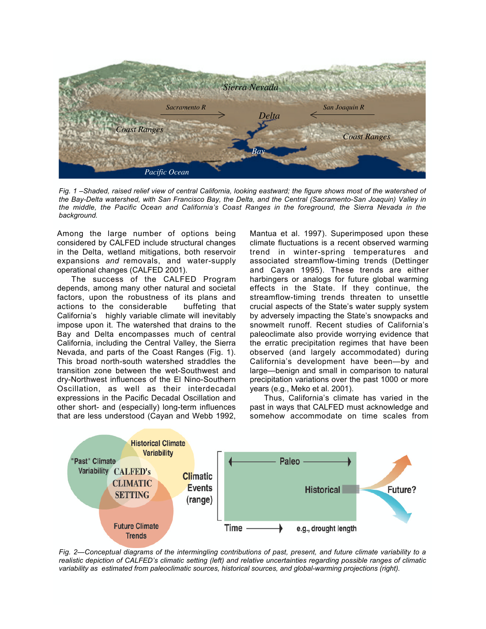

*Fig. 1 –Shaded, raised relief view of central California, looking eastward; the figure shows most of the watershed of the Bay-Delta watershed, with San Francisco Bay, the Delta, and the Central (Sacramento-San Joaquin) Valley in the middle, the Pacific Ocean and California's Coast Ranges in the foreground, the Sierra Nevada in the background.*

Among the large number of options being considered by CALFED include structural changes in the Delta, wetland mitigations, both reservoir expansions *and* removals, and water-supply operational changes (CALFED 2001).

The success of the CALFED Program depends, among many other natural and societal factors, upon the robustness of its plans and actions to the considerable buffeting that California's highly variable climate will inevitably impose upon it. The watershed that drains to the Bay and Delta encompasses much of central California, including the Central Valley, the Sierra Nevada, and parts of the Coast Ranges (Fig. 1). This broad north-south watershed straddles the transition zone between the wet-Southwest and dry-Northwest influences of the El Nino-Southern Oscillation, as well as their interdecadal expressions in the Pacific Decadal Oscillation and other short- and (especially) long-term influences that are less understood (Cayan and Webb 1992,

Mantua et al. 1997). Superimposed upon these climate fluctuations is a recent observed warming trend in winter-spring temperatures and associated streamflow-timing trends (Dettinger and Cayan 1995). These trends are either harbingers or analogs for future global warming effects in the State. If they continue, the streamflow-timing trends threaten to unsettle crucial aspects of the State's water supply system by adversely impacting the State's snowpacks and snowmelt runoff. Recent studies of California's paleoclimate also provide worrying evidence that the erratic precipitation regimes that have been observed (and largely accommodated) during California's development have been—by and large—benign and small in comparison to natural precipitation variations over the past 1000 or more years (e.g., Meko et al. 2001).

Thus, California's climate has varied in the past in ways that CALFED must acknowledge and somehow accommodate on time scales from



*Fig. 2—Conceptual diagrams of the intermingling contributions of past, present, and future climate variability to a realistic depiction of CALFED's climatic setting (left) and relative uncertainties regarding possible ranges of climatic variability as estimated from paleoclimatic sources, historical sources, and global-warming projections (right).*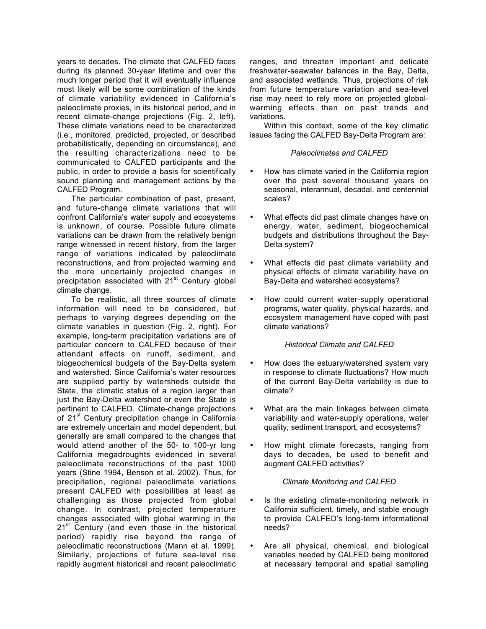years to decades. The climate that CALFED faces during its planned 30-year lifetime and over the much longer period that it will eventually influence most likely will be some combination of the kinds of climate variability evidenced in California's paleoclimate proxies, in its historical period, and in recent climate-change projections (Fig. 2, left). These climate variations need to be characterized (i.e., monitored, predicted, projected, or described probabilistically, depending on circumstance), and the resulting characterizations need to be communicated to CALFED participants and the public, in order to provide a basis for scientifically sound planning and management actions by the CALFED Program.

The particular combination of past, present, and future-change climate variations that will confront California's water supply and ecosystems is unknown, of course. Possible future climate variations can be drawn from the relatively benign range witnessed in recent history, from the larger range of variations indicated by paleoclimate reconstructions, and from projected warming and the more uncertainly projected changes in precipitation associated with  $21<sup>st</sup>$  Century global climate change.

To be realistic, all three sources of climate information will need to be considered, but perhaps to varying degrees depending on the climate variables in question (Fig. 2, right). For example, long-term precipitation variations are of particular concern to CALFED because of their attendant effects on runoff, sediment, and biogeochemical budgets of the Bay-Delta system and watershed. Since California's water resources are supplied partly by watersheds outside the State, the climatic status of a region larger than just the Bay-Delta watershed or even the State is pertinent to CALFED. Climate-change projections of 21<sup>st</sup> Century precipitation change in California are extremely uncertain and model dependent, but generally are small compared to the changes that would attend another of the 50- to 100-yr long California megadroughts evidenced in several paleoclimate reconstructions of the past 1000 years (Stine 1994, Benson et al. 2002). Thus, for precipitation, regional paleoclimate variations present CALFED with possibilities at least as challenging as those projected from global change. In contrast, projected temperature changes associated with global warming in the 21<sup>st</sup> Century (and even those in the historical period) rapidly rise beyond the range of paleoclimatic reconstructions (Mann et al. 1999). Similarly, projections of future sea-level rise rapidly augment historical and recent paleoclimatic ranges, and threaten important and delicate freshwater-seawater balances in the Bay, Delta, and associated wetlands. Thus, projections of risk from future temperature variation and sea-level rise may need to rely more on projected globalwarming effects than on past trends and variations.

Within this context, some of the key climatic issues facing the CALFED Bay-Delta Program are:

### *Paleoclimates and CALFED*

How has climate varied in the California region over the past several thousand years on seasonal, interannual, decadal, and centennial scales?

What effects did past climate changes have on energy, water, sediment, biogeochemical budgets and distributions throughout the Bay-Delta system?

What effects did past climate variability and physical effects of climate variability have on Bay-Delta and watershed ecosystems?

How could current water-supply operational programs, water quality, physical hazards, and ecosystem management have coped with past climate variations?

# *Historical Climate and CALFED*

How does the estuary/watershed system vary in response to climate fluctuations? How much of the current Bay-Delta variability is due to climate?

What are the main linkages between climate variability and water-supply operations, water quality, sediment transport, and ecosystems?

How might climate forecasts, ranging from days to decades, be used to benefit and augment CALFED activities?

# *Climate Monitoring and CALFED*

Is the existing climate-monitoring network in California sufficient, timely, and stable enough to provide CALFED's long-term informational needs?

Are all physical, chemical, and biological variables needed by CALFED being monitored at necessary temporal and spatial sampling